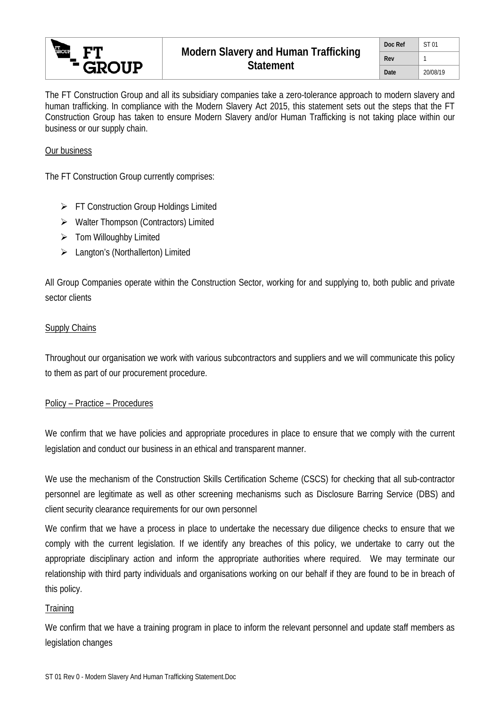

The FT Construction Group and all its subsidiary companies take a zero-tolerance approach to modern slavery and human trafficking. In compliance with the Modern Slavery Act 2015, this statement sets out the steps that the FT Construction Group has taken to ensure Modern Slavery and/or Human Trafficking is not taking place within our business or our supply chain.

## Our business

The FT Construction Group currently comprises:

- **FT Construction Group Holdings Limited**
- $\triangleright$  Walter Thompson (Contractors) Limited
- $\triangleright$  Tom Willoughby Limited
- Langton's (Northallerton) Limited

All Group Companies operate within the Construction Sector, working for and supplying to, both public and private sector clients

### **Supply Chains**

Throughout our organisation we work with various subcontractors and suppliers and we will communicate this policy to them as part of our procurement procedure.

### Policy – Practice – Procedures

We confirm that we have policies and appropriate procedures in place to ensure that we comply with the current legislation and conduct our business in an ethical and transparent manner.

We use the mechanism of the Construction Skills Certification Scheme (CSCS) for checking that all sub-contractor personnel are legitimate as well as other screening mechanisms such as Disclosure Barring Service (DBS) and client security clearance requirements for our own personnel

We confirm that we have a process in place to undertake the necessary due diligence checks to ensure that we comply with the current legislation. If we identify any breaches of this policy, we undertake to carry out the appropriate disciplinary action and inform the appropriate authorities where required. We may terminate our relationship with third party individuals and organisations working on our behalf if they are found to be in breach of this policy.

### **Training**

We confirm that we have a training program in place to inform the relevant personnel and update staff members as legislation changes